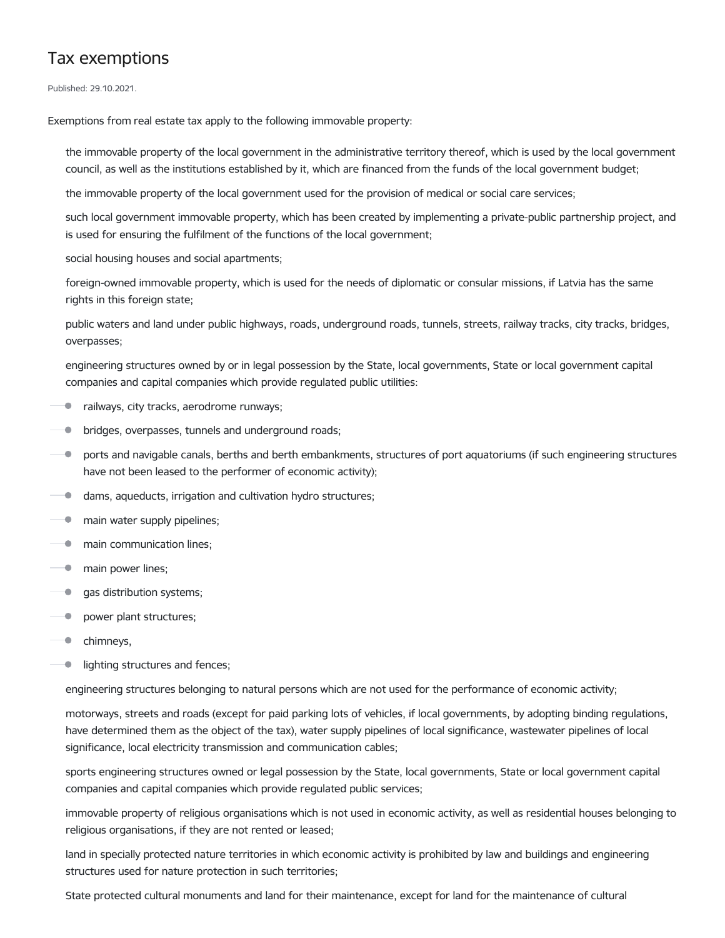## Tax exemptions

Published: 29.10.2021.

Exemptions from real estate tax apply to the following immovable property:

the immovable property of the local government in the administrative territory thereof, which is used by the local government council, as well as the institutions established by it, which are financed from the funds of the local government budget;

the immovable property of the local government used for the provision of medical or social care services;

such local government immovable property, which has been created by implementing a private-public partnership project, and is used for ensuring the fulfilment of the functions of the local government;

social housing houses and social apartments;

foreign-owned immovable property, which is used for the needs of diplomatic or consular missions, if Latvia has the same rights in this foreign state;

public waters and land under public highways, roads, underground roads, tunnels, streets, railway tracks, city tracks, bridges, overpasses;

engineering structures owned by or in legal possession by the State, local governments, State or local government capital companies and capital companies which provide regulated public utilities:

- $\bullet$  . railways, city tracks, aerodrome runways;
- $\overline{\phantom{a}}$ bridges, overpasses, tunnels and underground roads;
- ports and navigable canals, berths and berth embankments, structures of port aquatoriums (if such engineering structures have not been leased to the performer of economic activity);
- $\overline{\phantom{a}}$ dams, aqueducts, irrigation and cultivation hydro structures;
- $\overline{\phantom{a}}$ main water supply pipelines;
- $\overline{\phantom{a}}$ main communication lines;
- $\longrightarrow$  main power lines;
- **gas distribution systems;**
- **power plant structures;**
- **chimneys,**
- $\bullet$ lighting structures and fences;

engineering structures belonging to natural persons which are not used for the performance of economic activity;

motorways, streets and roads (except for paid parking lots of vehicles, if local governments, by adopting binding regulations, have determined them as the object of the tax), water supply pipelines of local significance, wastewater pipelines of local significance, local electricity transmission and communication cables;

sports engineering structures owned or legal possession by the State, local governments, State or local government capital companies and capital companies which provide regulated public services;

immovable property of religious organisations which is not used in economic activity, as well as residential houses belonging to religious organisations, if they are not rented or leased;

land in specially protected nature territories in which economic activity is prohibited by law and buildings and engineering structures used for nature protection in such territories;

State protected cultural monuments and land for their maintenance, except for land for the maintenance of cultural